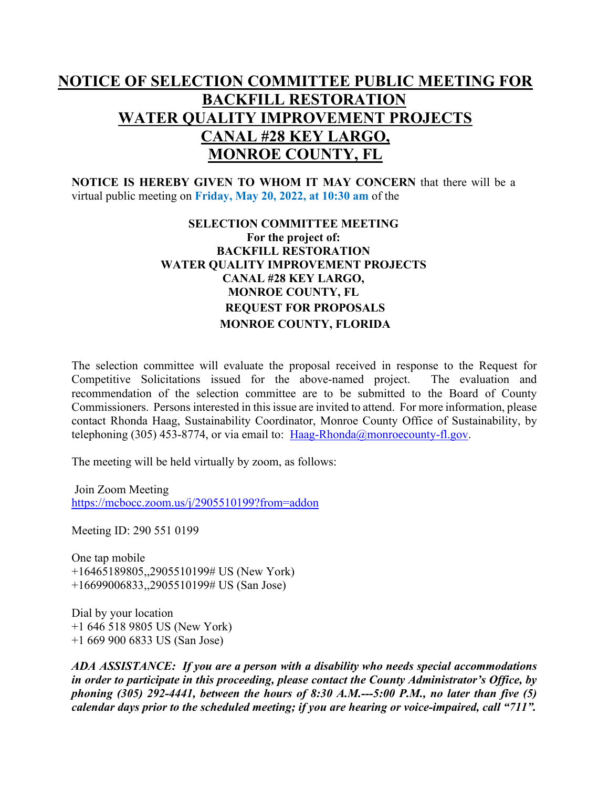## **NOTICE OF SELECTION COMMITTEE PUBLIC MEETING FOR BACKFILL RESTORATION WATER QUALITY IMPROVEMENT PROJECTS CANAL #28 KEY LARGO, MONROE COUNTY, FL**

**NOTICE IS HEREBY GIVEN TO WHOM IT MAY CONCERN** that there will be a virtual public meeting on **Friday, May 20, 2022, at 10:30 am** of the

## **SELECTION COMMITTEE MEETING For the project of: BACKFILL RESTORATION WATER QUALITY IMPROVEMENT PROJECTS CANAL #28 KEY LARGO, MONROE COUNTY, FL REQUEST FOR PROPOSALS MONROE COUNTY, FLORIDA**

The selection committee will evaluate the proposal received in response to the Request for Competitive Solicitations issued for the above-named project. The evaluation and recommendation of the selection committee are to be submitted to the Board of County Commissioners. Persons interested in this issue are invited to attend. For more information, please contact Rhonda Haag, Sustainability Coordinator, Monroe County Office of Sustainability, by telephoning (305) 453-8774, or via email to:  $Haag-Rhonda@monroecounty-fl.gov$ .

The meeting will be held virtually by zoom, as follows:

Join Zoom Meeting <https://mcbocc.zoom.us/j/2905510199?from=addon>

Meeting ID: 290 551 0199

One tap mobile +16465189805,,2905510199# US (New York) +16699006833,,2905510199# US (San Jose)

Dial by your location +1 646 518 9805 US (New York) +1 669 900 6833 US (San Jose)

*ADA ASSISTANCE: If you are a person with a disability who needs special accommodations in order to participate in this proceeding, please contact the County Administrator's Office, by phoning (305) 292-4441, between the hours of 8:30 A.M.---5:00 P.M., no later than five (5) calendar days prior to the scheduled meeting; if you are hearing or voice-impaired, call "711".*